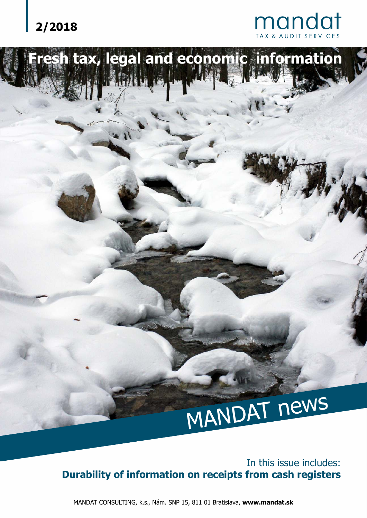

# **Fresh tax, legal and economic information** MANDAT news

In this issue includes: **Durability of information on receipts from cash registers**

MANDAT CONSULTING, k.s., Nám. SNP 15, 811 01 Bratislava, **www.mandat.sk**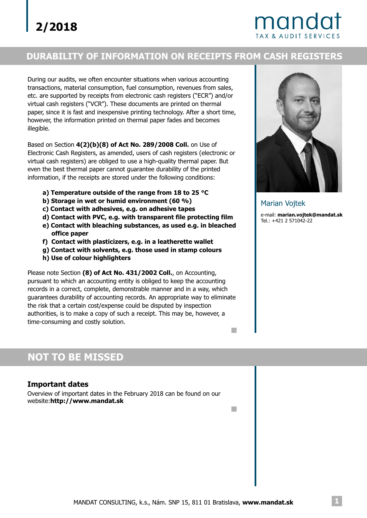# mandat

## **DURABILITY OF INFORMATION ON RECEIPTS FROM CASH REGISTERS**

During our audits, we often encounter situations when various accounting transactions, material consumption, fuel consumption, revenues from sales, etc. are supported by receipts from electronic cash registers ("ECR") and/or virtual cash registers ("VCR"). These documents are printed on thermal paper, since it is fast and inexpensive printing technology. After a short time, however, the information printed on thermal paper fades and becomes illegible.

Based on Section **4(2)(b)(8) of Act No. 289/2008 Coll.** on Use of Electronic Cash Registers, as amended, users of cash registers (electronic or virtual cash registers) are obliged to use a high-quality thermal paper. But even the best thermal paper cannot guarantee durability of the printed information, if the receipts are stored under the following conditions:

- **a) Temperature outside of the range from 18 to 25 °C**
- **b) Storage in wet or humid environment (60 %)**
- **c) Contact with adhesives, e.g. on adhesive tapes**
- **d) Contact with PVC, e.g. with transparent file protecting film**
- **e) Contact with bleaching substances, as used e.g. in bleached office paper**
- **f) Contact with plasticizers, e.g. in a leatherette wallet**
- **g) Contact with solvents, e.g. those used in stamp colours**
- **h) Use of colour highlighters**

Please note Section (8) of Act No. 431/2002 Coll., on Accounting, pursuant to which an accounting entity is obliged to keep the accounting records in a correct, complete, demonstrable manner and in a way, which guarantees durability of accounting records. An appropriate way to eliminate the risk that a certain cost/expense could be disputed by inspection authorities, is to make a copy of such a receipt. This may be, however, a time-consuming and costly solution.



### **Important dates**

Overview of important dates in the February 2018 can be found on our website:**http://www.mandat.sk**



Marian Vojtek

**T** 

m.

e-mail: **marian.vojtek@mandat.sk** Tel.: +421 2 571042-22